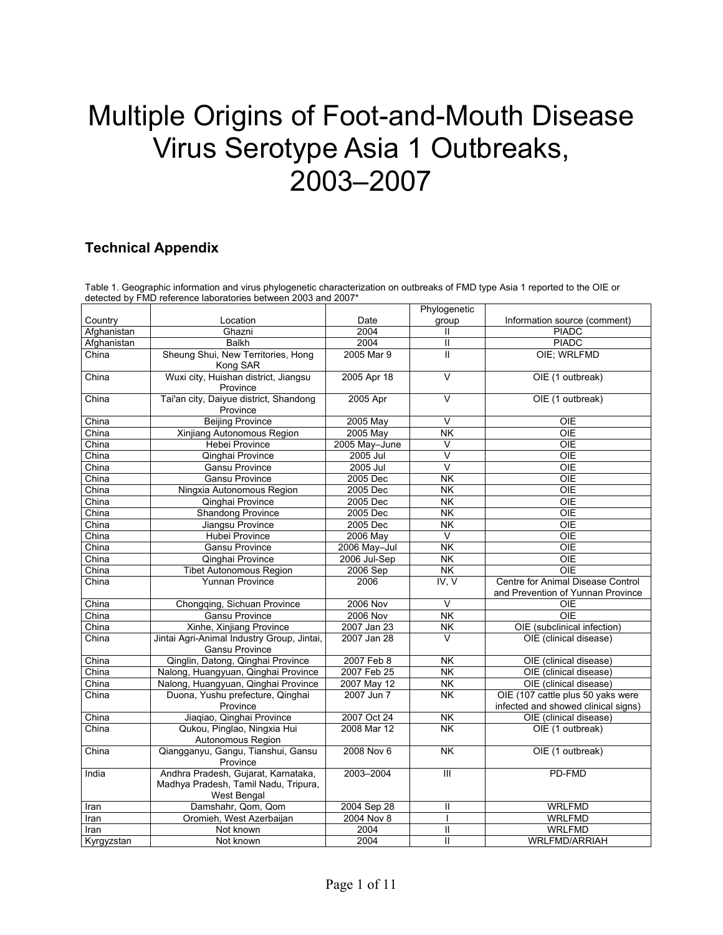## Multiple Origins of Foot-and-Mouth Disease Virus Serotype Asia 1 Outbreaks, 2003–2007

## **Technical Appendix**

Table 1. Geographic information and virus phylogenetic characterization on outbreaks of FMD type Asia 1 reported to the OIE or detected by FMD reference laboratories between 2003 and 2007\*

|             |                                                                                            |                 | Phylogenetic                                 |                                                                          |
|-------------|--------------------------------------------------------------------------------------------|-----------------|----------------------------------------------|--------------------------------------------------------------------------|
| Country     | Location                                                                                   | Date            | group                                        | Information source (comment)                                             |
| Afghanistan | Ghazni                                                                                     | 2004            | Ш                                            | <b>PIADC</b>                                                             |
| Afghanistan | <b>Balkh</b>                                                                               | 2004            | Ш                                            | <b>PIADC</b>                                                             |
| China       | Sheung Shui, New Territories, Hong<br>Kong SAR                                             | 2005 Mar 9      | Ш                                            | OIE; WRLFMD                                                              |
| China       | Wuxi city, Huishan district, Jiangsu<br>Province                                           | 2005 Apr 18     | $\overline{\mathsf{v}}$                      | OIE (1 outbreak)                                                         |
| China       | Tai'an city, Daiyue district, Shandong<br>Province                                         | 2005 Apr        | $\overline{\mathsf{v}}$                      | OIE (1 outbreak)                                                         |
| China       | <b>Beijing Province</b>                                                                    | 2005 May        | V                                            | <b>OIE</b>                                                               |
| China       | Xinjiang Autonomous Region                                                                 | 2005 May        | <b>NK</b>                                    | <b>OIE</b>                                                               |
| China       | <b>Hebei Province</b>                                                                      | 2005 May-June   | $\vee$                                       | <b>OIE</b>                                                               |
| China       | Qinghai Province                                                                           | 2005 Jul        | $\overline{\mathsf{v}}$                      | <b>OIE</b>                                                               |
| China       | <b>Gansu Province</b>                                                                      | 2005 Jul        | $\overline{\mathsf{v}}$                      | $\overline{O E}$                                                         |
| China       | <b>Gansu Province</b>                                                                      | 2005 Dec        | $\overline{\overline{\mathsf{N}}\mathsf{K}}$ | $\overline{O E}$                                                         |
| China       | Ningxia Autonomous Region                                                                  | 2005 Dec        | <b>NK</b>                                    | <b>OIE</b>                                                               |
| China       | Qinghai Province                                                                           | 2005 Dec        | $\overline{\mathsf{NK}}$                     | OIE                                                                      |
| China       | <b>Shandong Province</b>                                                                   | 2005 Dec        | <b>NK</b>                                    | OIE                                                                      |
| China       | Jiangsu Province                                                                           | 2005 Dec        | <b>NK</b>                                    | OIE                                                                      |
| China       | Hubei Province                                                                             | 2006 May        | $\vee$                                       | <b>OIE</b>                                                               |
| China       | <b>Gansu Province</b>                                                                      | 2006 May-Jul    | $\overline{\mathsf{NK}}$                     | OIE                                                                      |
| China       | Qinghai Province                                                                           | 2006 Jul-Sep    | $\overline{\mathsf{NK}}$                     | $\overline{OIE}$                                                         |
| China       | <b>Tibet Autonomous Region</b>                                                             | 2006 Sep        | <b>NK</b>                                    | OIE                                                                      |
| China       | Yunnan Province                                                                            | 2006            | IV, V                                        | Centre for Animal Disease Control<br>and Prevention of Yunnan Province   |
| China       | Chongqing, Sichuan Province                                                                | <b>2006 Nov</b> | $\vee$                                       | OIE                                                                      |
| China       | <b>Gansu Province</b>                                                                      | 2006 Nov        | $\overline{\mathsf{NK}}$                     | <b>OIE</b>                                                               |
| China       | Xinhe, Xinjiang Province                                                                   | 2007 Jan 23     | $\overline{\overline{\mathsf{N}}\mathsf{K}}$ | OIE (subclinical infection)                                              |
| China       | Jintai Agri-Animal Industry Group, Jintai,                                                 | 2007 Jan 28     | $\vee$                                       | OIE (clinical disease)                                                   |
|             | <b>Gansu Province</b>                                                                      |                 |                                              |                                                                          |
| China       | Qinglin, Datong, Qinghai Province                                                          | 2007 Feb 8      | <b>NK</b>                                    | OIE (clinical disease)                                                   |
| China       | Nalong, Huangyuan, Qinghai Province                                                        | 2007 Feb 25     | <b>NK</b>                                    | OIE (clinical disease)                                                   |
| China       | Nalong, Huangyuan, Qinghai Province                                                        | 2007 May 12     | $\overline{\mathsf{NK}}$                     | OIE (clinical disease)                                                   |
| China       | Duona, Yushu prefecture, Qinghai<br>Province                                               | 2007 Jun 7      | <b>NK</b>                                    | OIE (107 cattle plus 50 yaks were<br>infected and showed clinical signs) |
| China       | Jiaqiao, Qinghai Province                                                                  | 2007 Oct 24     | <b>NK</b>                                    | OIE (clinical disease)                                                   |
| China       | Qukou, Pinglao, Ningxia Hui<br>Autonomous Region                                           | 2008 Mar 12     | <b>NK</b>                                    | OIE (1 outbreak)                                                         |
| China       | Qiangganyu, Gangu, Tianshui, Gansu<br>Province                                             | 2008 Nov 6      | $\overline{\mathsf{NK}}$                     | OIE (1 outbreak)                                                         |
| India       | Andhra Pradesh, Gujarat, Karnataka,<br>Madhya Pradesh, Tamil Nadu, Tripura,<br>West Bengal | 2003-2004       | Ш                                            | PD-FMD                                                                   |
| Iran        | Damshahr, Qom, Qom                                                                         | 2004 Sep 28     | $\mathbf{I}$                                 | <b>WRLFMD</b>                                                            |
| Iran        | Oromieh, West Azerbaijan                                                                   | 2004 Nov 8      |                                              | <b>WRLFMD</b>                                                            |
| Iran        | Not known                                                                                  | 2004            | Ш                                            | <b>WRLFMD</b>                                                            |
| Kyrgyzstan  | Not known                                                                                  | 2004            | Ш                                            | WRLFMD/ARRIAH                                                            |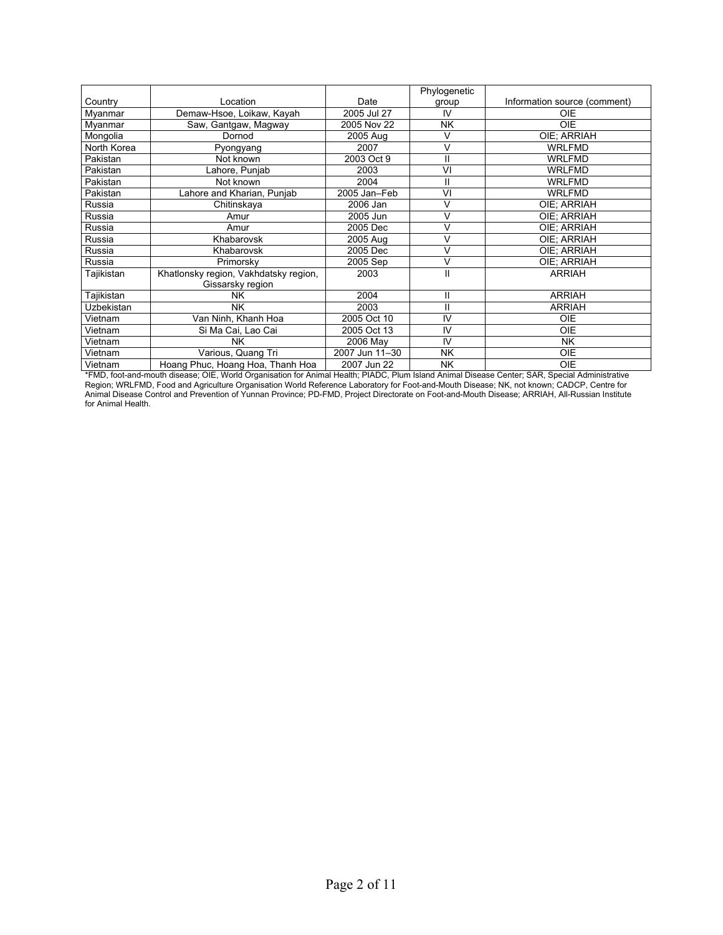|             |                                       |                | Phylogenetic |                              |
|-------------|---------------------------------------|----------------|--------------|------------------------------|
| Country     | Location                              | Date           | group        | Information source (comment) |
| Myanmar     | Demaw-Hsoe, Loikaw, Kayah             | 2005 Jul 27    | IV           | OIE                          |
| Myanmar     | Saw, Gantgaw, Magway                  | 2005 Nov 22    | <b>NK</b>    | <b>OIE</b>                   |
| Mongolia    | Dornod                                | 2005 Aug       | v            | OIE: ARRIAH                  |
| North Korea | Pyongyang                             | 2007           | V            | <b>WRLFMD</b>                |
| Pakistan    | Not known                             | 2003 Oct 9     | н            | <b>WRLFMD</b>                |
| Pakistan    | Lahore, Punjab                        | 2003           | VI           | <b>WRLFMD</b>                |
| Pakistan    | Not known                             | 2004           | II           | <b>WRLFMD</b>                |
| Pakistan    | ahore and Kharian, Punjab             | 2005 Jan-Feb   | VI           | <b>WRLFMD</b>                |
| Russia      | Chitinskaya                           | 2006 Jan       |              | OIE: ARRIAH                  |
| Russia      | Amur                                  | 2005 Jun       | V            | OIE; ARRIAH                  |
| Russia      | Amur                                  | 2005 Dec       | V            | OIE: ARRIAH                  |
| Russia      | Khabarovsk                            | 2005 Aug       | V            | OIE: ARRIAH                  |
| Russia      | Khabarovsk                            | 2005 Dec       | V            | OIE; ARRIAH                  |
| Russia      | Primorsky                             | 2005 Sep       | V            | OIE: ARRIAH                  |
| Tajikistan  | Khatlonsky region, Vakhdatsky region, | 2003           | Ш            | <b>ARRIAH</b>                |
|             | Gissarsky region                      |                |              |                              |
| Tajikistan  | NΚ                                    | 2004           | П            | <b>ARRIAH</b>                |
| Uzbekistan  | <b>NK</b>                             | 2003           | П            | <b>ARRIAH</b>                |
| Vietnam     | Van Ninh, Khanh Hoa                   | 2005 Oct 10    | IV           | <b>OIE</b>                   |
| Vietnam     | Si Ma Cai, Lao Cai                    | 2005 Oct 13    | IV           | <b>OIE</b>                   |
| Vietnam     | NK.                                   | 2006 May       | IV           | <b>NK</b>                    |
| Vietnam     | Various, Quang Tri                    | 2007 Jun 11-30 | NK           | <b>OIE</b>                   |
| Vietnam     | Hoang Phuc, Hoang Hoa, Thanh Hoa      | 2007 Jun 22    | NK           | <b>OIE</b>                   |

\*FMD, foot-and-mouth disease; OIE, World Organisation for Animal Health; PIADC, Plum Island Animal Disease Center; SAR, Special Administrative Region; WRLFMD, Food and Agriculture Organisation World Reference Laboratory for Foot-and-Mouth Disease; NK, not known; CADCP, Centre for Animal Disease Control and Prevention of Yunnan Province; PD-FMD, Project Directorate on Foot-and-Mouth Disease; ARRIAH, All-Russian Institute for Animal Health.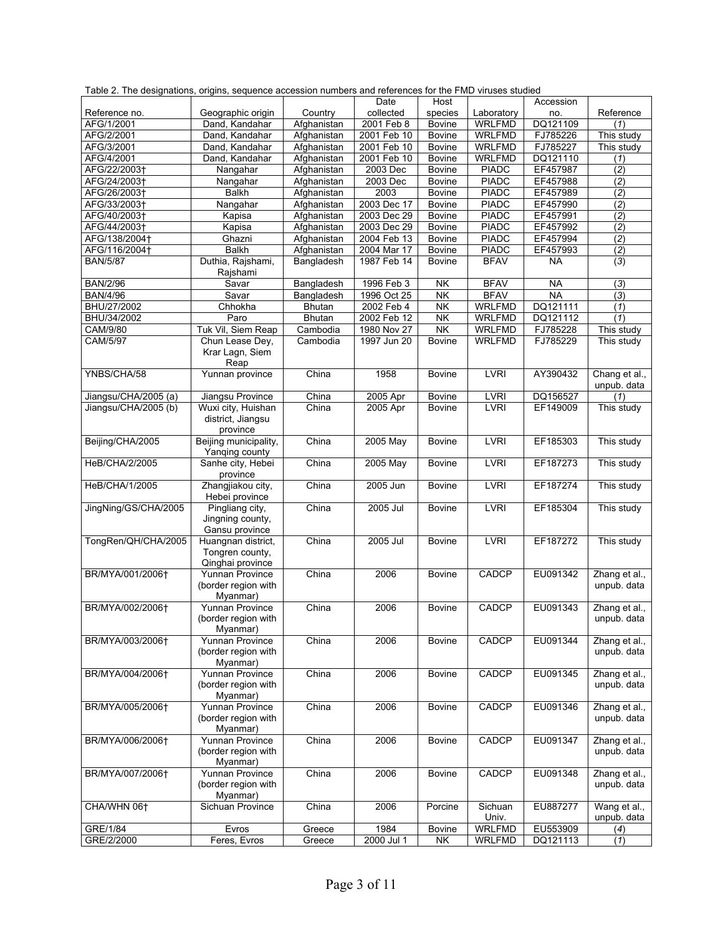| Table 2. The designations, origins, sequence accession numbers and references for the FMD viruses studied |                                     |               |             |                                              |               |           |                              |
|-----------------------------------------------------------------------------------------------------------|-------------------------------------|---------------|-------------|----------------------------------------------|---------------|-----------|------------------------------|
|                                                                                                           |                                     |               | Date        | Host                                         |               | Accession |                              |
| Reference no.                                                                                             | Geographic origin                   | Country       | collected   | species                                      | Laboratory    | no.       | Reference                    |
| AFG/1/2001                                                                                                | Dand, Kandahar                      | Afghanistan   | 2001 Feb 8  | <b>Bovine</b>                                | <b>WRLFMD</b> | DQ121109  | (1)                          |
| AFG/2/2001                                                                                                | Dand, Kandahar                      | Afghanistan   | 2001 Feb 10 | Bovine                                       | <b>WRLFMD</b> | FJ785226  | This study                   |
| AFG/3/2001                                                                                                | Dand, Kandahar                      | Afghanistan   | 2001 Feb 10 | Bovine                                       | <b>WRLFMD</b> | FJ785227  | This study                   |
| AFG/4/2001                                                                                                | Dand, Kandahar                      | Afghanistan   | 2001 Feb 10 | <b>Bovine</b>                                | <b>WRLFMD</b> | DQ121110  | (1)                          |
| AFG/22/2003+                                                                                              | Nangahar                            | Afghanistan   | 2003 Dec    | <b>Bovine</b>                                | <b>PIADC</b>  | EF457987  | $\overline{(2)}$             |
| AFG/24/2003+                                                                                              | Nangahar                            | Afghanistan   | 2003 Dec    | Bovine                                       | <b>PIADC</b>  | EF457988  | (2)                          |
| AFG/26/2003+                                                                                              | <b>Balkh</b>                        | Afghanistan   | 2003        | Bovine                                       | <b>PIADC</b>  | EF457989  | (2)                          |
| AFG/33/2003+                                                                                              | Nangahar                            | Afghanistan   | 2003 Dec 17 | <b>Bovine</b>                                | <b>PIADC</b>  | EF457990  | (2)                          |
| AFG/40/2003+                                                                                              | Kapisa                              | Afghanistan   | 2003 Dec 29 | <b>Bovine</b>                                | <b>PIADC</b>  | EF457991  | (2)                          |
| AFG/44/2003+                                                                                              | Kapisa                              | Afghanistan   | 2003 Dec 29 | Bovine                                       | <b>PIADC</b>  | EF457992  | (2)                          |
| AFG/138/2004+                                                                                             | Ghazni                              | Afghanistan   | 2004 Feb 13 | <b>Bovine</b>                                | <b>PIADC</b>  | EF457994  | (2)                          |
| AFG/116/2004+                                                                                             | <b>Balkh</b>                        | Afghanistan   | 2004 Mar 17 | Bovine                                       | <b>PIADC</b>  | EF457993  | (2)                          |
| <b>BAN/5/87</b>                                                                                           | Duthia, Rajshami,<br>Rajshami       | Bangladesh    | 1987 Feb 14 | <b>Bovine</b>                                | <b>BFAV</b>   | ΝA        | $\overline{3}$               |
| <b>BAN/2/96</b>                                                                                           | Savar                               | Bangladesh    | 1996 Feb 3  | $\overline{\overline{\mathsf{N}}\mathsf{K}}$ | <b>BFAV</b>   | <b>NA</b> | (3)                          |
| <b>BAN/4/96</b>                                                                                           | Savar                               | Bangladesh    | 1996 Oct 25 | NK                                           | <b>BFAV</b>   | <b>NA</b> | (3)                          |
| BHU/27/2002                                                                                               | Chhokha                             | Bhutan        | 2002 Feb 4  | NK                                           | <b>WRLFMD</b> | DQ121111  | (1)                          |
| BHU/34/2002                                                                                               | Paro                                | <b>Bhutan</b> | 2002 Feb 12 | <b>NK</b>                                    | <b>WRLFMD</b> | DQ121112  | (1)                          |
| CAM/9/80                                                                                                  | Tuk Vil, Siem Reap                  | Cambodia      | 1980 Nov 27 | <b>NK</b>                                    | <b>WRLFMD</b> | FJ785228  | This study                   |
| CAM/5/97                                                                                                  | Chun Lease Dey,                     | Cambodia      | 1997 Jun 20 | <b>Bovine</b>                                | <b>WRLFMD</b> | FJ785229  | This study                   |
|                                                                                                           | Krar Lagn, Siem<br>Reap             |               |             |                                              |               |           |                              |
| YNBS/CHA/58                                                                                               | Yunnan province                     | China         | 1958        | <b>Bovine</b>                                | <b>LVRI</b>   | AY390432  | Chang et al.,<br>unpub. data |
| Jiangsu/CHA/2005 (a)                                                                                      | Jiangsu Province                    | China         | 2005 Apr    | <b>Bovine</b>                                | <b>LVRI</b>   | DQ156527  | (1)                          |
| Jiangsu/CHA/2005 (b)                                                                                      | Wuxi city, Huishan                  | China         | 2005 Apr    | Bovine                                       | <b>LVRI</b>   | EF149009  | This study                   |
|                                                                                                           | district, Jiangsu<br>province       |               |             |                                              |               |           |                              |
| Beijing/CHA/2005                                                                                          | Beijing municipality,               | China         | 2005 May    | <b>Bovine</b>                                | <b>LVRI</b>   | EF185303  | This study                   |
|                                                                                                           | Yanqing county                      |               |             |                                              |               |           |                              |
| HeB/CHA/2/2005                                                                                            | Sanhe city, Hebei<br>province       | China         | 2005 May    | <b>Bovine</b>                                | <b>LVRI</b>   | EF187273  | This study                   |
| HeB/CHA/1/2005                                                                                            | Zhangjiakou city,<br>Hebei province | China         | 2005 Jun    | <b>Bovine</b>                                | <b>LVRI</b>   | EF187274  | This study                   |
| JingNing/GS/CHA/2005                                                                                      | Pingliang city,                     | China         | 2005 Jul    | <b>Bovine</b>                                | <b>LVRI</b>   | EF185304  | This study                   |
|                                                                                                           | Jingning county,<br>Gansu province  |               |             |                                              |               |           |                              |
| TongRen/QH/CHA/2005                                                                                       | Huangnan district,                  | China         | 2005 Jul    | <b>Bovine</b>                                | <b>LVRI</b>   | EF187272  | This study                   |
|                                                                                                           | Tongren county,                     |               |             |                                              |               |           |                              |
|                                                                                                           | Qinghai province                    |               |             |                                              |               |           |                              |
| BR/MYA/001/2006†                                                                                          | Yunnan Province                     | China         | 2006        | <b>Bovine</b>                                | CADCP         | EU091342  | Zhang et al.,                |
|                                                                                                           | (border region with                 |               |             |                                              |               |           | unpub. data                  |
| BR/MYA/002/2006†                                                                                          | Myanmar)<br>Yunnan Province         | China         | 2006        | <b>Bovine</b>                                | CADCP         | EU091343  |                              |
|                                                                                                           |                                     |               |             |                                              |               |           | Zhang et al.,                |
|                                                                                                           | (border region with<br>Myanmar)     |               |             |                                              |               |           | unpub. data                  |
| BR/MYA/003/2006+                                                                                          | Yunnan Province                     | China         | 2006        | <b>Bovine</b>                                | CADCP         | EU091344  | Zhang et al.,                |
|                                                                                                           | (border region with                 |               |             |                                              |               |           | unpub. data                  |
|                                                                                                           | Myanmar)                            |               |             |                                              |               |           |                              |
| BR/MYA/004/2006†                                                                                          | Yunnan Province                     | China         | 2006        | <b>Bovine</b>                                | CADCP         | EU091345  | Zhang et al.,                |
|                                                                                                           | (border region with                 |               |             |                                              |               |           | unpub. data                  |
|                                                                                                           | Myanmar)                            |               |             |                                              |               |           |                              |
| BR/MYA/005/2006+                                                                                          | Yunnan Province                     | China         | 2006        | <b>Bovine</b>                                | CADCP         | EU091346  | Zhang et al.,                |
|                                                                                                           | (border region with                 |               |             |                                              |               |           | unpub. data                  |
|                                                                                                           | Myanmar)                            |               |             |                                              |               |           |                              |
| BR/MYA/006/2006†                                                                                          | <b>Yunnan Province</b>              | China         | 2006        | <b>Bovine</b>                                | CADCP         | EU091347  | Zhang et al.,                |
|                                                                                                           | (border region with                 |               |             |                                              |               |           | unpub. data                  |
|                                                                                                           | Myanmar)                            |               |             |                                              |               |           |                              |
| BR/MYA/007/2006+                                                                                          | <b>Yunnan Province</b>              | China         | 2006        | <b>Bovine</b>                                | CADCP         | EU091348  | Zhang et al.,                |
|                                                                                                           | (border region with                 |               |             |                                              |               |           | unpub. data                  |
|                                                                                                           | Myanmar)                            |               |             |                                              |               |           |                              |
| CHA/WHN 06+                                                                                               | Sichuan Province                    | China         | 2006        | Porcine                                      | Sichuan       | EU887277  | Wang et al.,                 |
|                                                                                                           |                                     |               |             |                                              | Univ.         |           | unpub. data                  |
| GRE/1/84                                                                                                  | Evros                               | Greece        | 1984        | <b>Bovine</b>                                | <b>WRLFMD</b> | EU553909  | (4)                          |
| GRE/2/2000                                                                                                | Feres, Evros                        | Greece        | 2000 Jul 1  | <b>NK</b>                                    | <b>WRLFMD</b> | DQ121113  | $\overline{(1)}$             |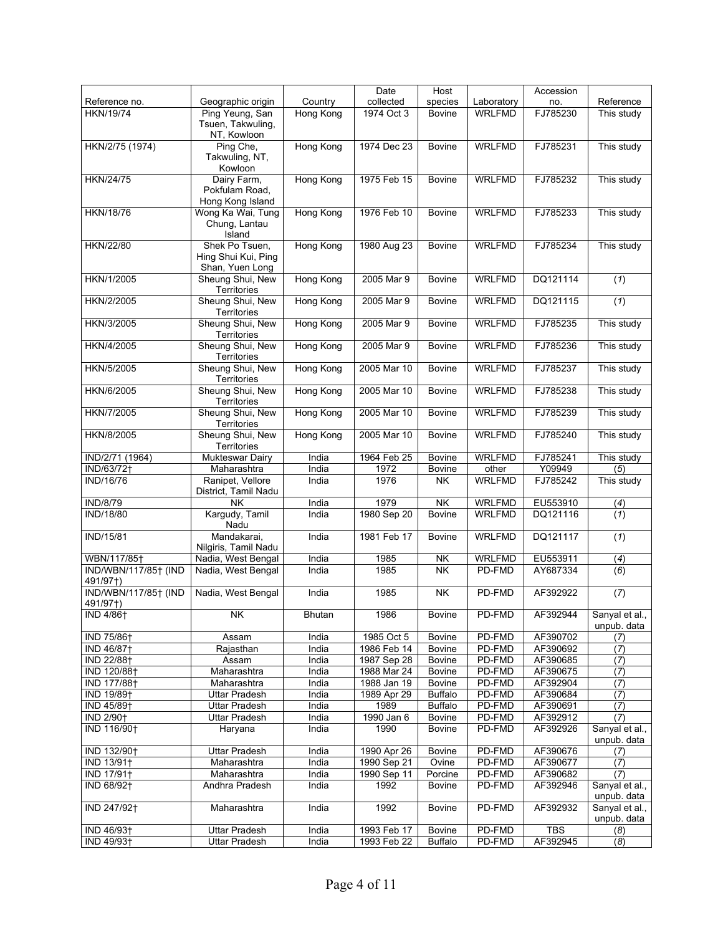|                         |                        |                  | Date        | Host           |               | Accession  |                               |
|-------------------------|------------------------|------------------|-------------|----------------|---------------|------------|-------------------------------|
| Reference no.           | Geographic origin      | Country          | collected   | species        | Laboratory    | no.        | Reference                     |
| <b>HKN/19/74</b>        | Ping Yeung, San        | Hong Kong        | 1974 Oct 3  | <b>Bovine</b>  | <b>WRLFMD</b> | FJ785230   | This study                    |
|                         | Tsuen, Takwuling,      |                  |             |                |               |            |                               |
|                         | NT, Kowloon            |                  |             |                |               |            |                               |
| HKN/2/75 (1974)         | Ping Che,              | Hong Kong        | 1974 Dec 23 | <b>Bovine</b>  | <b>WRLFMD</b> | FJ785231   | This study                    |
|                         |                        |                  |             |                |               |            |                               |
|                         | Takwuling, NT,         |                  |             |                |               |            |                               |
|                         | Kowloon                |                  |             |                |               |            |                               |
| <b>HKN/24/75</b>        | Dairy Farm,            | Hong Kong        | 1975 Feb 15 | <b>Bovine</b>  | <b>WRLFMD</b> | FJ785232   | This study                    |
|                         | Pokfulam Road,         |                  |             |                |               |            |                               |
|                         | Hong Kong Island       |                  |             |                |               |            |                               |
| <b>HKN/18/76</b>        | Wong Ka Wai, Tung      | Hong Kong        | 1976 Feb 10 | <b>Bovine</b>  | <b>WRLFMD</b> | FJ785233   | This study                    |
|                         | Chung, Lantau          |                  |             |                |               |            |                               |
|                         | Island                 |                  |             |                |               |            |                               |
| HKN/22/80               | Shek Po Tsuen,         | Hong Kong        | 1980 Aug 23 | <b>Bovine</b>  | <b>WRLFMD</b> | FJ785234   | This study                    |
|                         | Hing Shui Kui, Ping    |                  |             |                |               |            |                               |
|                         | Shan, Yuen Long        |                  |             |                |               |            |                               |
| HKN/1/2005              | Sheung Shui, New       | Hong Kong        | 2005 Mar 9  | <b>Bovine</b>  | <b>WRLFMD</b> | DQ121114   | (1)                           |
|                         | Territories            |                  |             |                |               |            |                               |
| HKN/2/2005              | Sheung Shui, New       | Hong Kong        | 2005 Mar 9  | <b>Bovine</b>  | <b>WRLFMD</b> | DQ121115   | (1)                           |
|                         | Territories            |                  |             |                |               |            |                               |
| HKN/3/2005              | Sheung Shui, New       | Hong Kong        | 2005 Mar 9  | <b>Bovine</b>  | <b>WRLFMD</b> | FJ785235   | This study                    |
|                         | Territories            |                  |             |                |               |            |                               |
| HKN/4/2005              | Sheung Shui, New       | <b>Hong Kong</b> | 2005 Mar 9  | <b>Bovine</b>  | <b>WRLFMD</b> | FJ785236   | This study                    |
|                         | Territories            |                  |             |                |               |            |                               |
| HKN/5/2005              | Sheung Shui, New       | Hong Kong        | 2005 Mar 10 | <b>Bovine</b>  | <b>WRLFMD</b> | FJ785237   | This study                    |
|                         | Territories            |                  |             |                |               |            |                               |
| HKN/6/2005              | Sheung Shui, New       | Hong Kong        | 2005 Mar 10 | <b>Bovine</b>  | <b>WRLFMD</b> | FJ785238   | This study                    |
|                         | Territories            |                  |             |                |               |            |                               |
| HKN/7/2005              | Sheung Shui, New       | Hong Kong        | 2005 Mar 10 | <b>Bovine</b>  | <b>WRLFMD</b> | FJ785239   | This study                    |
|                         | Territories            |                  |             |                |               |            |                               |
|                         |                        |                  |             |                |               |            |                               |
| HKN/8/2005              | Sheung Shui, New       | Hong Kong        | 2005 Mar 10 | <b>Bovine</b>  | <b>WRLFMD</b> | FJ785240   | This study                    |
|                         | Territories            |                  |             |                |               |            |                               |
| IND/2/71 (1964)         | <b>Mukteswar Dairy</b> | India            | 1964 Feb 25 | <b>Bovine</b>  | <b>WRLFMD</b> | FJ785241   | This study                    |
| IND/63/72+              | Maharashtra            | India            | 1972        | Bovine         | other         | Y09949     | (5)                           |
| <b>IND/16/76</b>        | Ranipet, Vellore       | India            | 1976        | <b>NK</b>      | <b>WRLFMD</b> | FJ785242   | This study                    |
|                         | District, Tamil Nadu   |                  |             |                |               |            |                               |
| <b>IND/8/79</b>         | NΚ                     | India            | 1979        | <b>NK</b>      | <b>WRLFMD</b> | EU553910   | (4)                           |
| <b>IND/18/80</b>        | Kargudy, Tamil         | India            | 1980 Sep 20 | <b>Bovine</b>  | <b>WRLFMD</b> | DQ121116   | (1)                           |
|                         | Nadu                   |                  |             |                |               |            |                               |
| IND/15/81               | Mandakarai,            | India            | 1981 Feb 17 | <b>Bovine</b>  | WRLFMD        | DQ121117   | (1)                           |
|                         | Nilgiris, Tamil Nadu   |                  |             |                |               |            |                               |
| WBN/117/85†             | Nadia, West Bengal     | India            | 1985        | NK             | <b>WRLFMD</b> | EU553911   | (4)                           |
| IND/WBN/117/85+ (IND    | Nadia, West Bengal     | India            | 1985        | <b>NK</b>      | PD-FMD        | AY687334   | (6)                           |
| 491/97†)                |                        |                  |             |                |               |            |                               |
| IND/WBN/117/85† (IND    | Nadia, West Bengal     | India            | 1985        | <b>NK</b>      | PD-FMD        | AF392922   | (7)                           |
| 491/97†)                |                        |                  |             |                |               |            |                               |
|                         | <b>NK</b>              | Bhutan           | 1986        |                | PD-FMD        | AF392944   |                               |
| <b>IND 4/86†</b>        |                        |                  |             | Bovine         |               |            | Sanyal et al.,<br>unpub. data |
|                         |                        |                  |             |                |               |            |                               |
| IND 75/86 <sup>+</sup>  | Assam                  | India            | 1985 Oct 5  | Bovine         | PD-FMD        | AF390702   | (7)                           |
| IND 46/87†              | Rajasthan              | India            | 1986 Feb 14 | Bovine         | PD-FMD        | AF390692   | (7)                           |
| IND 22/88 <sup>+</sup>  | Assam                  | India            | 1987 Sep 28 | Bovine         | PD-FMD        | AF390685   | (7)                           |
| IND 120/88+             | Maharashtra            | India            | 1988 Mar 24 | Bovine         | PD-FMD        | AF390675   | (7)                           |
| IND 177/88+             | Maharashtra            | India            | 1988 Jan 19 | Bovine         | PD-FMD        | AF392904   | (7)                           |
| IND 19/89 <sup>+</sup>  | <b>Uttar Pradesh</b>   | India            | 1989 Apr 29 | <b>Buffalo</b> | PD-FMD        | AF390684   | (7)                           |
| IND 45/89 <sup>+</sup>  | Uttar Pradesh          | India            | 1989        | <b>Buffalo</b> | PD-FMD        | AF390691   | (7)                           |
| IND 2/90 <sup>+</sup>   | Uttar Pradesh          | India            | 1990 Jan 6  | Bovine         | PD-FMD        | AF392912   | (7)                           |
| IND 116/90 <sup>+</sup> | Haryana                | India            | 1990        | Bovine         | PD-FMD        | AF392926   | Sanyal et al.,                |
|                         |                        |                  |             |                |               |            | unpub. data                   |
| IND 132/90 <sup>+</sup> | <b>Uttar Pradesh</b>   | India            | 1990 Apr 26 | <b>Bovine</b>  | PD-FMD        | AF390676   | (7)                           |
| IND 13/91†              | Maharashtra            | India            | 1990 Sep 21 | Ovine          | PD-FMD        | AF390677   | (7)                           |
| IND 17/91+              | Maharashtra            | India            | 1990 Sep 11 | Porcine        | PD-FMD        | AF390682   | (7)                           |
| IND 68/92 <sup>+</sup>  | Andhra Pradesh         | India            | 1992        | Bovine         | PD-FMD        | AF392946   | Sanyal et al.,                |
|                         |                        |                  |             |                |               |            | unpub. data                   |
| IND 247/92 <sup>+</sup> |                        |                  | 1992        |                | PD-FMD        | AF392932   |                               |
|                         | Maharashtra            | India            |             | <b>Bovine</b>  |               |            | Sanyal et al.,                |
|                         |                        |                  |             |                |               |            | unpub. data                   |
| IND 46/93 <sup>+</sup>  | Uttar Pradesh          | India            | 1993 Feb 17 | <b>Bovine</b>  | PD-FMD        | <b>TBS</b> | (8)                           |
| IND 49/93 <sup>+</sup>  | Uttar Pradesh          | India            | 1993 Feb 22 | <b>Buffalo</b> | PD-FMD        | AF392945   | (8)                           |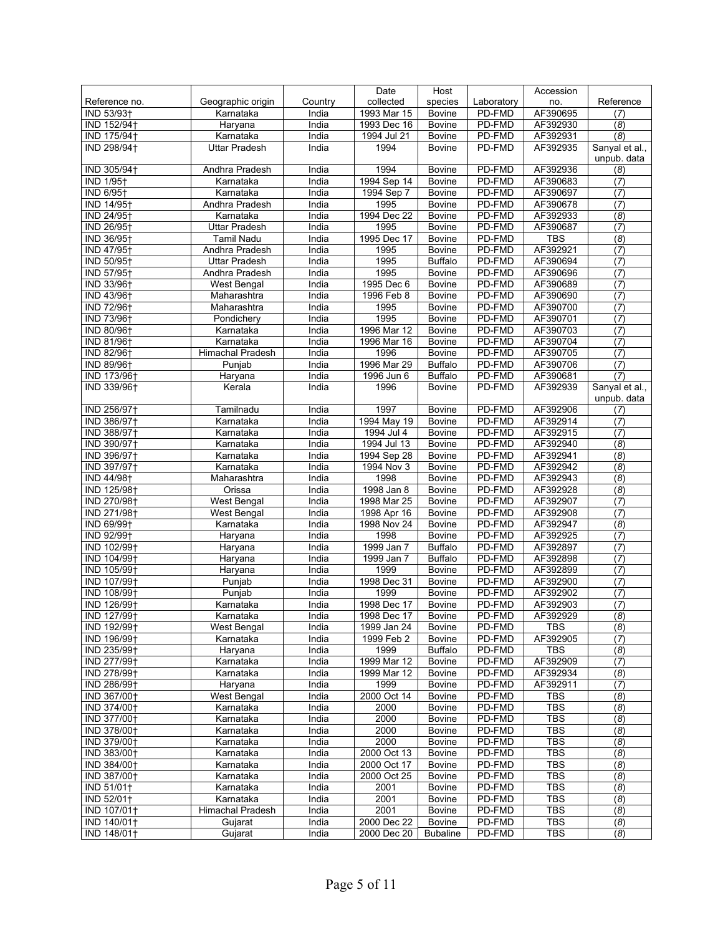|                         |                      |         | Date        | Host            |            | Accession  |                               |
|-------------------------|----------------------|---------|-------------|-----------------|------------|------------|-------------------------------|
| Reference no.           | Geographic origin    | Country | collected   | species         | Laboratory | no.        | Reference                     |
| IND 53/93 <sup>+</sup>  | Karnataka            | India   | 1993 Mar 15 | Bovine          | PD-FMD     | AF390695   | (7)                           |
| IND 152/94 <sup>+</sup> | Haryana              | India   | 1993 Dec 16 | Bovine          | PD-FMD     | AF392930   | (8)                           |
| IND 175/94 <sup>+</sup> | Karnataka            | India   | 1994 Jul 21 | <b>Bovine</b>   | PD-FMD     | AF392931   | (8)                           |
| IND 298/94 <sup>+</sup> | <b>Uttar Pradesh</b> | India   | 1994        | <b>Bovine</b>   | PD-FMD     | AF392935   | Sanyal et al.,                |
|                         |                      |         |             |                 |            |            | unpub. data                   |
| IND 305/94+             | Andhra Pradesh       | India   | 1994        | Bovine          | PD-FMD     | AF392936   | (8)                           |
| <b>IND 1/95+</b>        | Karnataka            | India   | 1994 Sep 14 | Bovine          | PD-FMD     | AF390683   | (7)                           |
| <b>IND 6/95+</b>        | Karnataka            | India   | 1994 Sep 7  | <b>Bovine</b>   | PD-FMD     | AF390697   | (7)                           |
| IND 14/95 <sup>+</sup>  | Andhra Pradesh       | India   | 1995        | <b>Bovine</b>   | PD-FMD     | AF390678   | (7)                           |
| IND 24/95 <sup>+</sup>  | Karnataka            | India   | 1994 Dec 22 | Bovine          | PD-FMD     | AF392933   | (8)                           |
| IND 26/95 <sup>+</sup>  | <b>Uttar Pradesh</b> | India   | 1995        | Bovine          | PD-FMD     | AF390687   | (7)                           |
| IND 36/95+              | Tamil Nadu           | India   | 1995 Dec 17 | <b>Bovine</b>   | PD-FMD     | <b>TBS</b> | (8)                           |
| IND 47/95 <sup>+</sup>  | Andhra Pradesh       | India   | 1995        | <b>Bovine</b>   | PD-FMD     | AF392921   | (7)                           |
| IND 50/95†              | <b>Uttar Pradesh</b> | India   | 1995        | <b>Buffalo</b>  | PD-FMD     | AF390694   | (7)                           |
| IND 57/95†              | Andhra Pradesh       | India   | 1995        | <b>Bovine</b>   | PD-FMD     | AF390696   | (7)                           |
|                         |                      |         |             |                 | PD-FMD     | AF390689   |                               |
| IND 33/96 <sup>+</sup>  | West Bengal          | India   | 1995 Dec 6  | Bovine          |            |            | $\overline{(7)}$              |
| IND 43/96 <sup>+</sup>  | Maharashtra          | India   | 1996 Feb 8  | <b>Bovine</b>   | PD-FMD     | AF390690   | (7)                           |
| IND 72/96 <sup>+</sup>  | Maharashtra          | India   | 1995        | Bovine          | PD-FMD     | AF390700   | (7)                           |
| IND 73/96 <sup>+</sup>  | Pondichery           | India   | 1995        | Bovine          | PD-FMD     | AF390701   | (7)                           |
| IND 80/96+              | Karnataka            | India   | 1996 Mar 12 | Bovine          | PD-FMD     | AF390703   | (7)                           |
| IND 81/96 <sup>+</sup>  | Karnataka            | India   | 1996 Mar 16 | Bovine          | PD-FMD     | AF390704   | (7)                           |
| IND 82/96 <sup>+</sup>  | Himachal Pradesh     | India   | 1996        | <b>Bovine</b>   | PD-FMD     | AF390705   | (7)                           |
| IND 89/96+              | Punjab               | India   | 1996 Mar 29 | <b>Buffalo</b>  | PD-FMD     | AF390706   | (7)                           |
| IND 173/96 <sup>+</sup> | Haryana              | India   | 1996 Jun 6  | <b>Buffalo</b>  | PD-FMD     | AF390681   | (7)                           |
| IND 339/96 <sup>+</sup> | Kerala               | India   | 1996        | <b>Bovine</b>   | PD-FMD     | AF392939   | Sanyal et al.,<br>unpub. data |
| IND 256/97†             | Tamilnadu            | India   | 1997        | <b>Bovine</b>   | PD-FMD     | AF392906   | (7)                           |
| IND 386/97 <sup>+</sup> | Karnataka            | India   | 1994 May 19 | <b>Bovine</b>   | PD-FMD     | AF392914   | (7)                           |
| IND 388/97 <sup>+</sup> | Karnataka            | India   | 1994 Jul 4  | Bovine          | PD-FMD     | AF392915   | (7)                           |
| IND 390/97+             | Karnataka            | India   | 1994 Jul 13 | <b>Bovine</b>   | PD-FMD     | AF392940   | (8)                           |
| IND 396/97 <sup>+</sup> | Karnataka            | India   | 1994 Sep 28 | Bovine          | PD-FMD     | AF392941   | (8)                           |
| IND 397/97 <sup>+</sup> | Karnataka            | India   | 1994 Nov 3  | Bovine          | PD-FMD     | AF392942   | (8)                           |
| IND 44/98 <sup>+</sup>  | Maharashtra          | India   | 1998        | Bovine          | PD-FMD     | AF392943   | $\overline{(8)}$              |
|                         |                      |         | 1998 Jan 8  |                 |            |            |                               |
| IND 125/98 <sup>+</sup> | Orissa               | India   |             | Bovine          | PD-FMD     | AF392928   | $\overline{(8)}$              |
| IND 270/98 <sup>+</sup> | <b>West Bengal</b>   | India   | 1998 Mar 25 | <b>Bovine</b>   | PD-FMD     | AF392907   | (7)                           |
| IND 271/98 <sup>+</sup> | West Bengal          | India   | 1998 Apr 16 | <b>Bovine</b>   | PD-FMD     | AF392908   | $\overline{(7)}$              |
| IND 69/99 <sup>+</sup>  | Karnataka            | India   | 1998 Nov 24 | <b>Bovine</b>   | PD-FMD     | AF392947   | $\overline{(8)}$              |
| IND 92/99 <sup>+</sup>  | Haryana              | India   | 1998        | <b>Bovine</b>   | PD-FMD     | AF392925   | (7)                           |
| IND 102/99 <sup>+</sup> | Haryana              | India   | 1999 Jan 7  | <b>Buffalo</b>  | PD-FMD     | AF392897   | (7)                           |
| IND 104/99 <sup>+</sup> | Haryana              | India   | 1999 Jan 7  | <b>Buffalo</b>  | PD-FMD     | AF392898   | (7)                           |
| IND 105/99+             | Haryana              | India   | 1999        | <b>Bovine</b>   | PD-FMD     | AF392899   | (7)                           |
| IND 107/99 <sup>+</sup> | Punjab               | India   | 1998 Dec 31 | <b>Bovine</b>   | PD-FMD     | AF392900   | (7)                           |
| IND 108/99+             | Punjab               | India   | 1999        | <b>Bovine</b>   | PD-FMD     | AF392902   | (7)                           |
| IND 126/99†             | Karnataka            | India   | 1998 Dec 17 | <b>Bovine</b>   | PD-FMD     | AF392903   | (7)                           |
| IND 127/99              | Karnataka            | india   | 1998 Dec 17 | <b>Bovine</b>   | PD-FMD     | AF392929   | (8)                           |
| IND 192/99†             | West Bengal          | India   | 1999 Jan 24 | <b>Bovine</b>   | PD-FMD     | <b>TBS</b> | (8)                           |
| IND 196/99†             | Karnataka            | India   | 1999 Feb 2  | <b>Bovine</b>   | PD-FMD     | AF392905   | (7)                           |
| IND 235/99 <sup>+</sup> | Haryana              | India   | 1999        | <b>Buffalo</b>  | PD-FMD     | <b>TBS</b> | (8)                           |
| IND 277/99 <sup>+</sup> | Karnataka            | India   | 1999 Mar 12 | Bovine          | PD-FMD     | AF392909   | (7)                           |
| IND 278/99 <sup>+</sup> | Karnataka            | India   | 1999 Mar 12 | Bovine          | PD-FMD     | AF392934   | (8)                           |
| IND 286/99†             | Haryana              | India   | 1999        | <b>Bovine</b>   | PD-FMD     | AF392911   | (7)                           |
| IND 367/00+             | West Bengal          | India   | 2000 Oct 14 | Bovine          | PD-FMD     | <b>TBS</b> | (8)                           |
| IND 374/00+             | Karnataka            | India   | 2000        | Bovine          | PD-FMD     | <b>TBS</b> | (8)                           |
| IND 377/00+             | Karnataka            | India   | 2000        | Bovine          | PD-FMD     | <b>TBS</b> | (8)                           |
| IND 378/00+             | Karnataka            | India   | 2000        | <b>Bovine</b>   | PD-FMD     | <b>TBS</b> | (8)                           |
| IND 379/00+             | Karnataka            | India   | 2000        | <b>Bovine</b>   | PD-FMD     | <b>TBS</b> | (8)                           |
| IND 383/00+             | Karnataka            | India   | 2000 Oct 13 | <b>Bovine</b>   | PD-FMD     | <b>TBS</b> | (8)                           |
| IND 384/00+             | Karnataka            | India   | 2000 Oct 17 | Bovine          | PD-FMD     | <b>TBS</b> | (8)                           |
| IND 387/00+             | Karnataka            | India   | 2000 Oct 25 | <b>Bovine</b>   | PD-FMD     | <b>TBS</b> | (8)                           |
| IND 51/01+              | Karnataka            | India   | 2001        | <b>Bovine</b>   | PD-FMD     | <b>TBS</b> | (8)                           |
| IND 52/01+              | Karnataka            | India   | 2001        | Bovine          | PD-FMD     | <b>TBS</b> | (8)                           |
| IND 107/01+             | Himachal Pradesh     | India   | 2001        | Bovine          | PD-FMD     | TBS        | (8)                           |
| IND 140/01+             | Gujarat              | India   | 2000 Dec 22 | <b>Bovine</b>   | PD-FMD     | TBS        | (8)                           |
| IND 148/01+             | Gujarat              | India   | 2000 Dec 20 | <b>Bubaline</b> | PD-FMD     | <b>TBS</b> | (8)                           |
|                         |                      |         |             |                 |            |            |                               |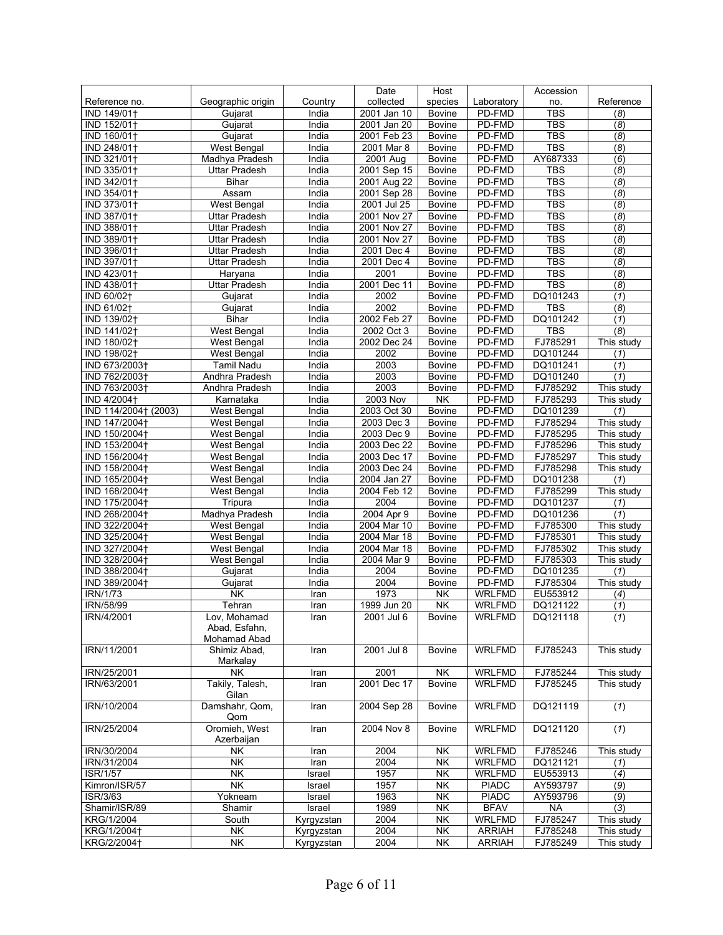|                      |                                              |                  | Date        | Host                     |                               | Accession            |            |
|----------------------|----------------------------------------------|------------------|-------------|--------------------------|-------------------------------|----------------------|------------|
| Reference no.        | Geographic origin                            | Country          | collected   | species                  | Laboratory                    | no.                  | Reference  |
| IND 149/01+          | Gujarat                                      | India            | 2001 Jan 10 | <b>Bovine</b>            | PD-FMD                        | <b>TBS</b>           | (8)        |
| IND 152/01+          | Gujarat                                      | India            | 2001 Jan 20 | <b>Bovine</b>            | PD-FMD                        | <b>TBS</b>           | (8)        |
| IND 160/01+          | Gujarat                                      | India            | 2001 Feb 23 | <b>Bovine</b>            | PD-FMD                        | <b>TBS</b>           | (8)        |
| IND 248/01+          | West Bengal                                  | India            | 2001 Mar 8  | <b>Bovine</b>            | PD-FMD                        | <b>TBS</b>           | (8)        |
| IND 321/01+          | Madhya Pradesh                               | India            | 2001 Aug    | Bovine                   | PD-FMD                        | AY687333             | (6)        |
| IND 335/01+          | <b>Uttar Pradesh</b>                         | India            | 2001 Sep 15 | <b>Bovine</b>            | PD-FMD                        | TBS                  | (8)        |
| IND 342/01+          | <b>Bihar</b>                                 | India            | 2001 Aug 22 | <b>Bovine</b>            | PD-FMD                        | <b>TBS</b>           | (8)        |
| IND 354/01+          | Assam                                        | India            | 2001 Sep 28 | <b>Bovine</b>            | PD-FMD                        | <b>TBS</b>           | (8)        |
| IND 373/01+          | <b>West Bengal</b>                           | India            | 2001 Jul 25 | Bovine                   | PD-FMD                        | <b>TBS</b>           | (8)        |
| IND 387/01+          | <b>Uttar Pradesh</b>                         | India            | 2001 Nov 27 | <b>Bovine</b>            | PD-FMD                        | <b>TBS</b>           | (8)        |
| IND 388/01+          | <b>Uttar Pradesh</b>                         | India            | 2001 Nov 27 | <b>Bovine</b>            | PD-FMD                        | <b>TBS</b>           | (8)        |
| IND 389/01+          | <b>Uttar Pradesh</b>                         | India            | 2001 Nov 27 | <b>Bovine</b>            | PD-FMD                        | <b>TBS</b>           | (8)        |
| IND 396/01+          | <b>Uttar Pradesh</b>                         | India            | 2001 Dec 4  | <b>Bovine</b>            | PD-FMD                        | <b>TBS</b>           | (8)        |
| IND 397/01+          | <b>Uttar Pradesh</b>                         | India            | 2001 Dec 4  | <b>Bovine</b>            | PD-FMD                        | <b>TBS</b>           | (8)        |
| IND 423/01+          | Haryana                                      | India            | 2001        | <b>Bovine</b>            | PD-FMD                        | <b>TBS</b>           | (8)        |
| IND 438/01+          | <b>Uttar Pradesh</b>                         | India            | 2001 Dec 11 | <b>Bovine</b>            | PD-FMD                        | <b>TBS</b>           | (8)        |
| IND 60/02+           | Gujarat                                      | India            | 2002        | <b>Bovine</b>            | PD-FMD                        | DQ101243             | (1)        |
| IND 61/02+           | Gujarat                                      | India            | 2002        | <b>Bovine</b>            | PD-FMD                        | <b>TBS</b>           | (8)        |
| IND 139/02+          | <b>Bihar</b>                                 | India            | 2002 Feb 27 | <b>Bovine</b>            | PD-FMD                        | DQ101242             | (1)        |
| IND 141/02+          | West Bengal                                  | India            | 2002 Oct 3  | Bovine                   | PD-FMD                        | <b>TBS</b>           | (8)        |
| IND 180/02+          | West Bengal                                  | India            | 2002 Dec 24 | <b>Bovine</b>            | PD-FMD                        | FJ785291             | This study |
| IND 198/02+          | West Bengal                                  | India            | 2002        | Bovine                   | PD-FMD                        | DQ101244             | (1)        |
| IND 673/2003+        | Tamil Nadu                                   | India            | 2003        | <b>Bovine</b>            | PD-FMD                        | DQ101241             | (1)        |
| IND 762/2003+        | Andhra Pradesh                               | India            | 2003        | <b>Bovine</b>            | PD-FMD                        | DQ101240             | (1)        |
| IND 763/2003+        | Andhra Pradesh                               | India            | 2003        | <b>Bovine</b>            | PD-FMD                        | FJ785292             | This study |
| IND 4/2004+          | Karnataka                                    | India            | 2003 Nov    | $\overline{\mathsf{NK}}$ | PD-FMD                        | FJ785293             | This study |
| IND 114/2004† (2003) | West Bengal                                  | India            | 2003 Oct 30 | Bovine                   | PD-FMD                        | DQ101239             | (1)        |
| IND 147/2004+        | West Bengal                                  | India            | 2003 Dec 3  | <b>Bovine</b>            | PD-FMD                        | FJ785294             | This study |
| IND 150/2004+        | West Bengal                                  | India            | 2003 Dec 9  | Bovine                   | PD-FMD                        | FJ785295             | This study |
| IND 153/2004+        | West Bengal                                  | India            | 2003 Dec 22 | <b>Bovine</b>            | PD-FMD                        | FJ785296             | This study |
| IND 156/2004+        | West Bengal                                  | India            | 2003 Dec 17 | Bovine                   | PD-FMD                        | FJ785297             | This study |
| IND 158/2004+        | West Bengal                                  | India            | 2003 Dec 24 | Bovine                   | PD-FMD                        | FJ785298             | This study |
| IND 165/2004+        | West Bengal                                  | India            | 2004 Jan 27 | <b>Bovine</b>            | PD-FMD                        | DQ101238             | (1)        |
| IND 168/2004+        | West Bengal                                  | India            | 2004 Feb 12 | <b>Bovine</b>            | PD-FMD                        | FJ785299             | This study |
| IND 175/2004+        | Tripura                                      | India            | 2004        | Bovine                   | PD-FMD                        | DQ101237             | (1)        |
| IND 268/2004+        | Madhya Pradesh                               | India            | 2004 Apr 9  | <b>Bovine</b>            | PD-FMD                        | DQ101236             | (1)        |
| IND 322/2004+        | West Bengal                                  | India            | 2004 Mar 10 | Bovine                   | PD-FMD                        | FJ785300             | This study |
| IND 325/2004+        | West Bengal                                  | India            | 2004 Mar 18 | Bovine                   | PD-FMD                        | FJ785301             | This study |
| IND 327/2004+        | West Bengal                                  | India            | 2004 Mar 18 | <b>Bovine</b>            | PD-FMD                        | FJ785302             | This study |
| IND 328/2004+        | West Bengal                                  | India            | 2004 Mar 9  | <b>Bovine</b>            | PD-FMD                        | FJ785303             | This study |
| IND 388/2004+        | Gujarat                                      | India            | 2004        | <b>Bovine</b>            | PD-FMD                        | DQ101235             | (1)        |
| IND 389/2004+        | Gujarat                                      | India            | 2004        | <b>Bovine</b>            | PD-FMD                        | FJ785304             | This study |
| IRN/1/73             | $\overline{\overline{\mathsf{N}}\mathsf{K}}$ | Iran             | 1973        | NK                       | <b>WRLFMD</b>                 | EU553912             | (4)        |
| IRN/58/99            | Tehran                                       | Iran             | 1999 Jun 20 | <b>NK</b>                | <b>WRLFMD</b>                 | DQ121122             | (1)        |
| IRN/4/2001           | Lov, Mohamad                                 | Iran             | 2001 Jul 6  | <b>Bovine</b>            | WRLFMD                        | DQ121118             | (1)        |
|                      | Abad, Esfahn,                                |                  |             |                          |                               |                      |            |
|                      | Mohamad Abad                                 |                  |             |                          |                               |                      |            |
| IRN/11/2001          | Shimiz Abad,                                 | Iran             | 2001 Jul 8  | <b>Bovine</b>            | <b>WRLFMD</b>                 | FJ785243             | This study |
|                      | Markalay                                     |                  |             |                          |                               |                      |            |
| IRN/25/2001          | <b>NK</b>                                    | Iran             | 2001        | NK                       | <b>WRLFMD</b>                 | FJ785244             | This study |
| IRN/63/2001          | Takily, Talesh,                              | Iran             | 2001 Dec 17 | <b>Bovine</b>            | <b>WRLFMD</b>                 | FJ785245             | This study |
| IRN/10/2004          | Gilan                                        |                  |             |                          |                               | DQ121119             |            |
|                      | Damshahr, Qom,<br>Qom                        | Iran             | 2004 Sep 28 | Bovine                   | <b>WRLFMD</b>                 |                      | (1)        |
| IRN/25/2004          | Oromieh, West                                | Iran             | 2004 Nov 8  | Bovine                   | <b>WRLFMD</b>                 | DQ121120             | (1)        |
|                      |                                              |                  |             |                          |                               |                      |            |
| IRN/30/2004          | Azerbaijan                                   |                  | 2004        | NK                       | <b>WRLFMD</b>                 | FJ785246             | This study |
| IRN/31/2004          | NΚ<br><b>NK</b>                              | Iran<br>Iran     | 2004        | <b>NK</b>                | <b>WRLFMD</b>                 | DQ121121             | (1)        |
| ISR/1/57             | <b>NK</b>                                    |                  | 1957        |                          |                               |                      |            |
| Kimron/ISR/57        | <b>NK</b>                                    | Israel           | 1957        | NK<br><b>NK</b>          | <b>WRLFMD</b><br><b>PIADC</b> | EU553913<br>AY593797 | (4)        |
| ISR/3/63             |                                              | Israel           | 1963        | <b>NK</b>                | <b>PIADC</b>                  | AY593796             | (9)        |
| Shamir/ISR/89        | Yokneam<br>Shamir                            | Israel<br>Israel | 1989        | NK                       | <b>BFAV</b>                   | <b>NA</b>            | (9)        |
|                      |                                              |                  | 2004        |                          |                               |                      | (3)        |
| KRG/1/2004           | South                                        | Kyrgyzstan       | 2004        | NK                       | <b>WRLFMD</b>                 | FJ785247             | This study |
| KRG/1/2004†          | NK                                           | Kyrgyzstan       |             | NK                       | <b>ARRIAH</b>                 | FJ785248             | This study |
| KRG/2/2004+          | NK                                           | Kyrgyzstan       | 2004        | <b>NK</b>                | <b>ARRIAH</b>                 | FJ785249             | This study |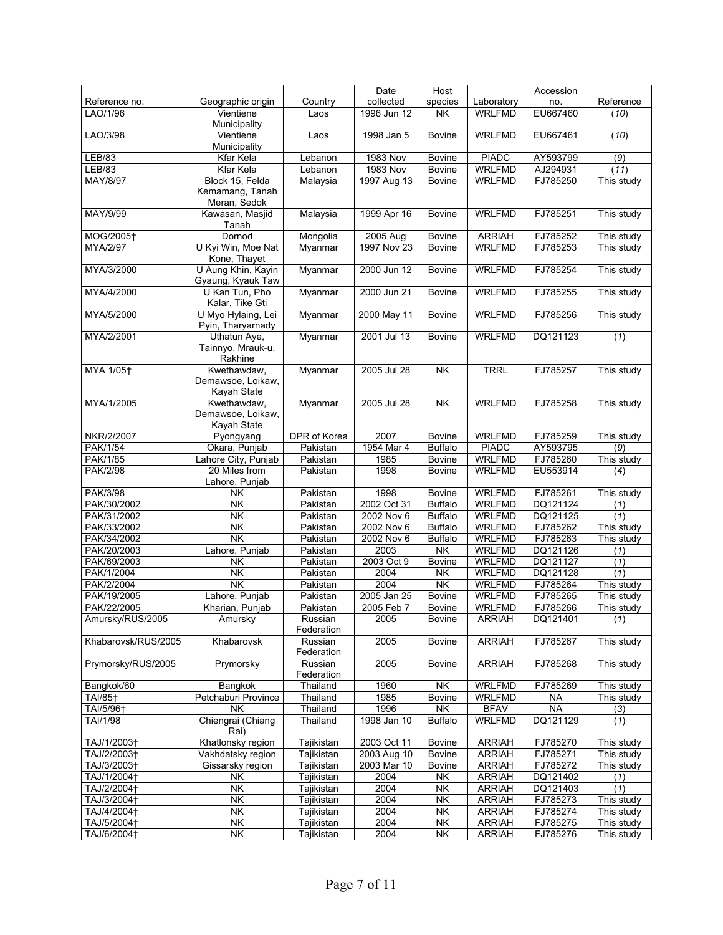|                         |                                                 |                       | Date            | Host                     |               | Accession |            |
|-------------------------|-------------------------------------------------|-----------------------|-----------------|--------------------------|---------------|-----------|------------|
| Reference no.           | Geographic origin                               | Country               | collected       | species                  | Laboratory    | no.       | Reference  |
| LAO/1/96                | Vientiene<br>Municipality                       | Laos                  | 1996 Jun 12     | $\overline{\mathsf{NK}}$ | <b>WRLFMD</b> | EU667460  | (10)       |
| LAO/3/98                | Vientiene<br>Municipality                       | Laos                  | 1998 Jan 5      | <b>Bovine</b>            | <b>WRLFMD</b> | EU667461  | (10)       |
| <b>LEB/83</b>           | Kfar Kela                                       | Lebanon               | <b>1983 Nov</b> | <b>Bovine</b>            | <b>PIADC</b>  | AY593799  | (9)        |
| LEB/83                  | <b>Kfar Kela</b>                                | Lebanon               | 1983 Nov        | Bovine                   | <b>WRLFMD</b> | AJ294931  | (11)       |
| MAY/8/97                | Block 15, Felda                                 | Malaysia              | 1997 Aug 13     | <b>Bovine</b>            | <b>WRLFMD</b> | FJ785250  | This study |
|                         | Kemamang, Tanah<br>Meran, Sedok                 |                       |                 |                          |               |           |            |
| MAY/9/99                | Kawasan, Masjid<br>Tanah                        | Malaysia              | 1999 Apr 16     | <b>Bovine</b>            | <b>WRLFMD</b> | FJ785251  | This study |
| MOG/2005+               | Dornod                                          | Mongolia              | 2005 Aug        | <b>Bovine</b>            | <b>ARRIAH</b> | FJ785252  | This study |
| MYA/2/97                | U Kyi Win, Moe Nat<br>Kone, Thayet              | Myanmar               | 1997 Nov 23     | <b>Bovine</b>            | <b>WRLFMD</b> | FJ785253  | This study |
| MYA/3/2000              | U Aung Khin, Kayin<br>Gyaung, Kyauk Taw         | Myanmar               | 2000 Jun 12     | <b>Bovine</b>            | <b>WRLFMD</b> | FJ785254  | This study |
| MYA/4/2000              | U Kan Tun, Pho<br>Kalar, Tike Gti               | Myanmar               | 2000 Jun 21     | <b>Bovine</b>            | <b>WRLFMD</b> | FJ785255  | This study |
| MYA/5/2000              | U Myo Hylaing, Lei<br>Pyin, Tharyarnady         | Myanmar               | 2000 May 11     | <b>Bovine</b>            | <b>WRLFMD</b> | FJ785256  | This study |
| MYA/2/2001              | Uthatun Aye,<br>Tainnyo, Mrauk-u,<br>Rakhine    | Myanmar               | 2001 Jul 13     | <b>Bovine</b>            | <b>WRLFMD</b> | DQ121123  | (1)        |
| MYA 1/05+               | Kwethawdaw,<br>Demawsoe, Loikaw,<br>Kayah State | Myanmar               | 2005 Jul 28     | <b>NK</b>                | <b>TRRL</b>   | FJ785257  | This study |
| MYA/1/2005              | Kwethawdaw,<br>Demawsoe, Loikaw,<br>Kayah State | Myanmar               | 2005 Jul 28     | NK                       | <b>WRLFMD</b> | FJ785258  | This study |
| NKR/2/2007              | Pyongyang                                       | <b>DPR</b> of Korea   | 2007            | <b>Bovine</b>            | <b>WRLFMD</b> | FJ785259  | This study |
| PAK/1/54                | Okara, Punjab                                   | Pakistan              | 1954 Mar 4      | <b>Buffalo</b>           | <b>PIADC</b>  | AY593795  | (9)        |
| <b>PAK/1/85</b>         | Lahore City, Punjab                             | Pakistan              | 1985            | <b>Bovine</b>            | <b>WRLFMD</b> | FJ785260  | This study |
| <b>PAK/2/98</b>         | 20 Miles from<br>Lahore, Punjab                 | Pakistan              | 1998            | <b>Bovine</b>            | <b>WRLFMD</b> | EU553914  | (4)        |
| PAK/3/98                | NΚ                                              | Pakistan              | 1998            | Bovine                   | <b>WRLFMD</b> | FJ785261  | This study |
| PAK/30/2002             | NΚ                                              | Pakistan              | 2002 Oct 31     | <b>Buffalo</b>           | <b>WRLFMD</b> | DQ121124  | (1)        |
| PAK/31/2002             | <b>NK</b>                                       | Pakistan              | 2002 Nov 6      | <b>Buffalo</b>           | <b>WRLFMD</b> | DQ121125  | (1)        |
| PAK/33/2002             | <b>NK</b>                                       | Pakistan              | 2002 Nov 6      | <b>Buffalo</b>           | <b>WRLFMD</b> | FJ785262  | This study |
| PAK/34/2002             | <b>NK</b>                                       | Pakistan              | 2002 Nov 6      | <b>Buffalo</b>           | <b>WRLFMD</b> | FJ785263  | This study |
| PAK/20/2003             | Lahore, Punjab                                  | Pakistan              | 2003            | <b>NK</b>                | <b>WRLFMD</b> | DQ121126  | (1)        |
| PAK/69/2003             | <b>NK</b>                                       | Pakistan              | 2003 Oct 9      | Bovine                   | <b>WRLFMD</b> | DQ121127  | (1)        |
| PAK/1/2004              | <b>NK</b>                                       | Pakistan              | 2004            | NK                       | <b>WRLFMD</b> | DQ121128  | (1)        |
| PAK/2/2004              | $\overline{\mathsf{NK}}$                        | Pakistan              | 2004            | $\overline{\mathsf{NK}}$ | <b>WRLFMD</b> | FJ785264  | This study |
| PAK/19/2005             | Lahore, Punjab                                  | Pakistan              | 2005 Jan 25     | Bovine                   | <b>WRLFMD</b> | FJ785265  | This study |
| PAK/22/2005             | Kharian, Punjab                                 | Pakistan              | 2005 Feb 7      | <b>Bovine</b>            | <b>WRLFMD</b> | FJ785266  | This study |
| Amursky/RUS/2005        | Amursky                                         | Russian<br>Federation | 2005            | <b>Bovine</b>            | <b>ARRIAH</b> | DQ121401  | (1)        |
| Khabarovsk/RUS/2005     | Khabarovsk                                      | Russian<br>Federation | 2005            | <b>Bovine</b>            | <b>ARRIAH</b> | FJ785267  | This study |
| Prymorsky/RUS/2005      | Prymorsky                                       | Russian<br>Federation | 2005            | <b>Bovine</b>            | <b>ARRIAH</b> | FJ785268  | This study |
| Bangkok/60              | Bangkok                                         | Thailand              | 1960            | $\overline{\mathsf{NK}}$ | <b>WRLFMD</b> | FJ785269  | This study |
| TAI/85 <sup>+</sup>     | Petchaburi Province                             | Thailand              | 1985            | <b>Bovine</b>            | <b>WRLFMD</b> | <b>NA</b> | This study |
| TAI/5/96 <sup>+</sup>   | <b>NK</b>                                       | Thailand              | 1996            | NK                       | <b>BFAV</b>   | <b>NA</b> | (3)        |
| TAI/1/98                | Chiengrai (Chiang<br>Rai)                       | Thailand              | 1998 Jan 10     | <b>Buffalo</b>           | <b>WRLFMD</b> | DQ121129  | (1)        |
| TAJ/1/2003 <sup>+</sup> | Khatlonsky region                               | Tajikistan            | 2003 Oct 11     | Bovine                   | <b>ARRIAH</b> | FJ785270  | This study |
| TAJ/2/2003+             | Vakhdatsky region                               | Tajikistan            | 2003 Aug 10     | Bovine                   | <b>ARRIAH</b> | FJ785271  | This study |
| TAJ/3/2003+             | Gissarsky region                                | Tajikistan            | 2003 Mar 10     | Bovine                   | <b>ARRIAH</b> | FJ785272  | This study |
| TAJ/1/2004+             | <b>NK</b>                                       | Tajikistan            | 2004            | NK                       | <b>ARRIAH</b> | DQ121402  | (1)        |
| TAJ/2/2004†             | NK                                              | Tajikistan            | 2004            | NK                       | <b>ARRIAH</b> | DQ121403  | (1)        |
| TAJ/3/2004†             | NK                                              | Tajikistan            | 2004            | NK                       | <b>ARRIAH</b> | FJ785273  | This study |
| TAJ/4/2004 <sup>+</sup> | NΚ                                              | Tajikistan            | 2004            | <b>NK</b>                | <b>ARRIAH</b> | FJ785274  | This study |
| TAJ/5/2004+             | <b>NK</b>                                       | Tajikistan            | 2004            | $\overline{\mathsf{N}}$  | <b>ARRIAH</b> | FJ785275  | This study |
| TAJ/6/2004†             | NK                                              | Tajikistan            | 2004            | NK                       | <b>ARRIAH</b> | FJ785276  | This study |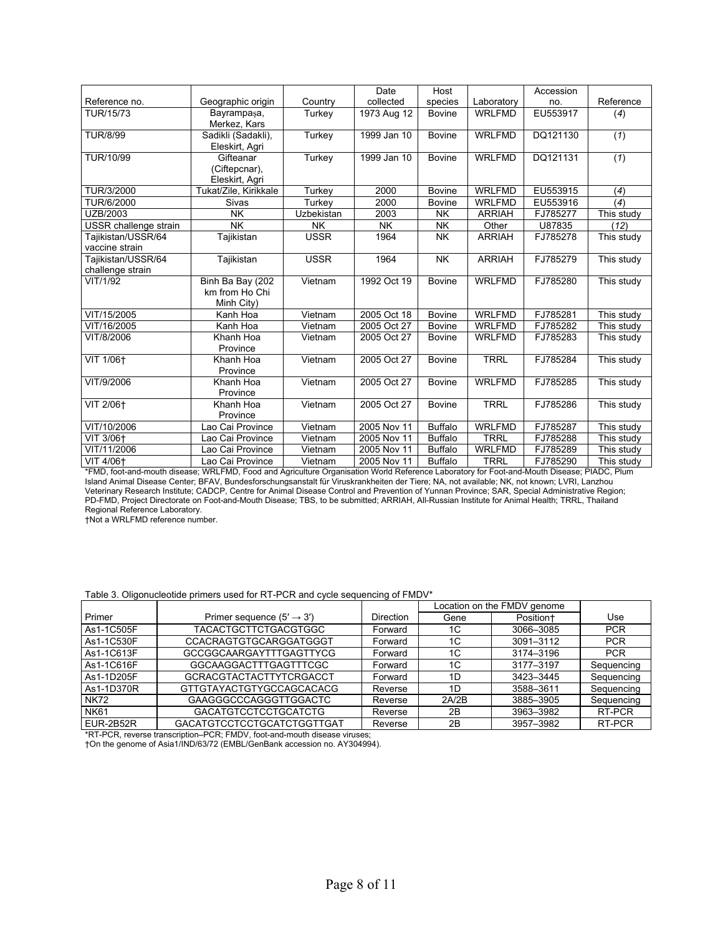|                       |                       |               | Date        | Host           |               | Accession |            |
|-----------------------|-----------------------|---------------|-------------|----------------|---------------|-----------|------------|
| Reference no.         | Geographic origin     | Country       | collected   | species        | Laboratory    | no.       | Reference  |
| TUR/15/73             | Bayrampaşa,           | Turkey        | 1973 Aug 12 | <b>Bovine</b>  | <b>WRLFMD</b> | EU553917  | (4)        |
|                       | Merkez, Kars          |               |             |                |               |           |            |
| <b>TUR/8/99</b>       | Sadikli (Sadakli),    | <b>Turkey</b> | 1999 Jan 10 | <b>Bovine</b>  | <b>WRLFMD</b> | DQ121130  | (1)        |
|                       | Eleskirt, Agri        |               |             |                |               |           |            |
| TUR/10/99             | Gifteanar             | Turkey        | 1999 Jan 10 | <b>Bovine</b>  | <b>WRLFMD</b> | DQ121131  | (1)        |
|                       | (Ciftepcnar),         |               |             |                |               |           |            |
|                       | Eleskirt, Agri        |               |             |                |               |           |            |
| TUR/3/2000            | Tukat/Zile, Kirikkale | Turkey        | 2000        | <b>Bovine</b>  | <b>WRLFMD</b> | EU553915  | (4)        |
| TUR/6/2000            | Sivas                 | Turkey        | 2000        | <b>Bovine</b>  | <b>WRLFMD</b> | EU553916  | (4)        |
| UZB/2003              | <b>NK</b>             | Uzbekistan    | 2003        | <b>NK</b>      | <b>ARRIAH</b> | FJ785277  | This study |
| USSR challenge strain | <b>NK</b>             | <b>NK</b>     | <b>NK</b>   | <b>NK</b>      | Other         | U87835    | (12)       |
| Tajikistan/USSR/64    | Tajikistan            | <b>USSR</b>   | 1964        | <b>NK</b>      | <b>ARRIAH</b> | FJ785278  | This study |
| vaccine strain        |                       |               |             |                |               |           |            |
| Tajikistan/USSR/64    | Tajikistan            | <b>USSR</b>   | 1964        | <b>NK</b>      | <b>ARRIAH</b> | FJ785279  | This study |
| challenge strain      |                       |               |             |                |               |           |            |
| VIT/1/92              | Binh Ba Bay (202      | Vietnam       | 1992 Oct 19 | <b>Bovine</b>  | <b>WRLFMD</b> | FJ785280  | This study |
|                       | km from Ho Chi        |               |             |                |               |           |            |
|                       | Minh City)            |               |             |                |               |           |            |
| VIT/15/2005           | Kanh Hoa              | Vietnam       | 2005 Oct 18 | <b>Bovine</b>  | <b>WRLFMD</b> | FJ785281  | This study |
| VIT/16/2005           | Kanh Hoa              | Vietnam       | 2005 Oct 27 | <b>Bovine</b>  | <b>WRLFMD</b> | FJ785282  | This study |
| VIT/8/2006            | Khanh Hoa             | Vietnam       | 2005 Oct 27 | <b>Bovine</b>  | <b>WRLFMD</b> | FJ785283  | This study |
|                       | Province              |               |             |                |               |           |            |
| VIT 1/06+             | Khanh Hoa             | Vietnam       | 2005 Oct 27 | Bovine         | <b>TRRL</b>   | FJ785284  | This study |
|                       | Province              |               |             |                |               |           |            |
| VIT/9/2006            | Khanh Hoa             | Vietnam       | 2005 Oct 27 | <b>Bovine</b>  | <b>WRLFMD</b> | FJ785285  | This study |
|                       | Province              |               |             |                |               |           |            |
| VIT 2/06+             | Khanh Hoa             | Vietnam       | 2005 Oct 27 | <b>Bovine</b>  | <b>TRRL</b>   | FJ785286  | This study |
|                       | Province              |               |             |                |               |           |            |
| VIT/10/2006           | Lao Cai Province      | Vietnam       | 2005 Nov 11 | <b>Buffalo</b> | <b>WRLFMD</b> | FJ785287  | This study |
| VIT 3/06+             | Lao Cai Province      | Vietnam       | 2005 Nov 11 | <b>Buffalo</b> | <b>TRRL</b>   | FJ785288  | This study |
| VIT/11/2006           | Lao Cai Province      | Vietnam       | 2005 Nov 11 | <b>Buffalo</b> | <b>WRLFMD</b> | FJ785289  | This study |
| VIT 4/06+             | Lao Cai Province      | Vietnam       | 2005 Nov 11 | <b>Buffalo</b> | <b>TRRL</b>   | FJ785290  | This study |

\*FMD, foot-and-mouth disease; WRLFMD, Food and Agriculture Organisation World Reference Laboratory for Foot-and-Mouth Disease; PIADC, Plum Island Animal Disease Center; BFAV, Bundesforschungsanstalt für Viruskrankheiten der Tiere; NA, not available; NK, not known; LVRI, Lanzhou Veterinary Research Institute; CADCP, Centre for Animal Disease Control and Prevention of Yunnan Province; SAR, Special Administrative Region; PD-FMD, Project Directorate on Foot-and-Mouth Disease; TBS, to be submitted; ARRIAH, All-Russian Institute for Animal Health; TRRL, Thailand Regional Reference Laboratory.

†Not a WRLFMD reference number.

## Table 3. Oligonucleotide primers used for RT-PCR and cycle sequencing of FMDV\*

|             |                                       |                  | Location on the FMDV genome |           |            |
|-------------|---------------------------------------|------------------|-----------------------------|-----------|------------|
| Primer      | Primer sequence $(5' \rightarrow 3')$ | <b>Direction</b> | Gene                        | Position+ | Use        |
| As1-1C505F  | TACACTGCTTCTGACGTGGC                  | Forward          | 1C                          | 3066-3085 | <b>PCR</b> |
| As1-1C530F  | <b>CCACRAGTGTGCARGGATGGGT</b>         | Forward          | 1C                          | 3091-3112 | <b>PCR</b> |
| As1-1C613F  | <b>GCCGGCAARGAYTTTGAGTTYCG</b>        | Forward          | 1C                          | 3174-3196 | <b>PCR</b> |
| As1-1C616F  | GGCAAGGACTTTGAGTTTCGC                 | Forward          | 1C                          | 3177-3197 | Sequencing |
| As1-1D205F  | <b>GCRACGTACTACTTYTCRGACCT</b>        | Forward          | 1D                          | 3423-3445 | Sequencing |
| As1-1D370R  | GTTGTAYACTGTYGCCAGCACACG              | Reverse          | 1D                          | 3588-3611 | Sequencing |
| <b>NK72</b> | GAAGGGCCCAGGGTTGGACTC                 | Reverse          | 2A/2B                       | 3885-3905 | Sequencing |
| <b>NK61</b> | GACATGTCCTCCTGCATCTG                  | Reverse          | 2Β                          | 3963-3982 | RT-PCR     |
| EUR-2B52R   | GACATGTCCTCCTGCATCTGGTTGAT            | Reverse          | 2B                          | 3957-3982 | RT-PCR     |

\*RT-PCR, reverse transcription–PCR; FMDV, foot-and-mouth disease viruses;

†On the genome of Asia1/IND/63/72 (EMBL/GenBank accession no. AY304994).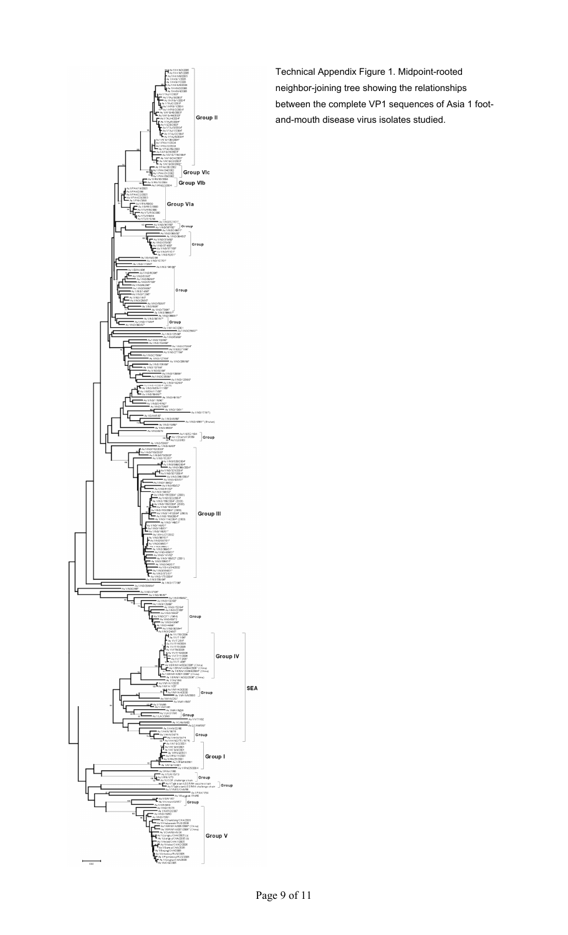

Technical Appendix Figure 1. Midpoint-rooted neighbor-joining tree showing the relationships between the complete VP1 sequences of Asia 1 footand-mouth disease virus isolates studied.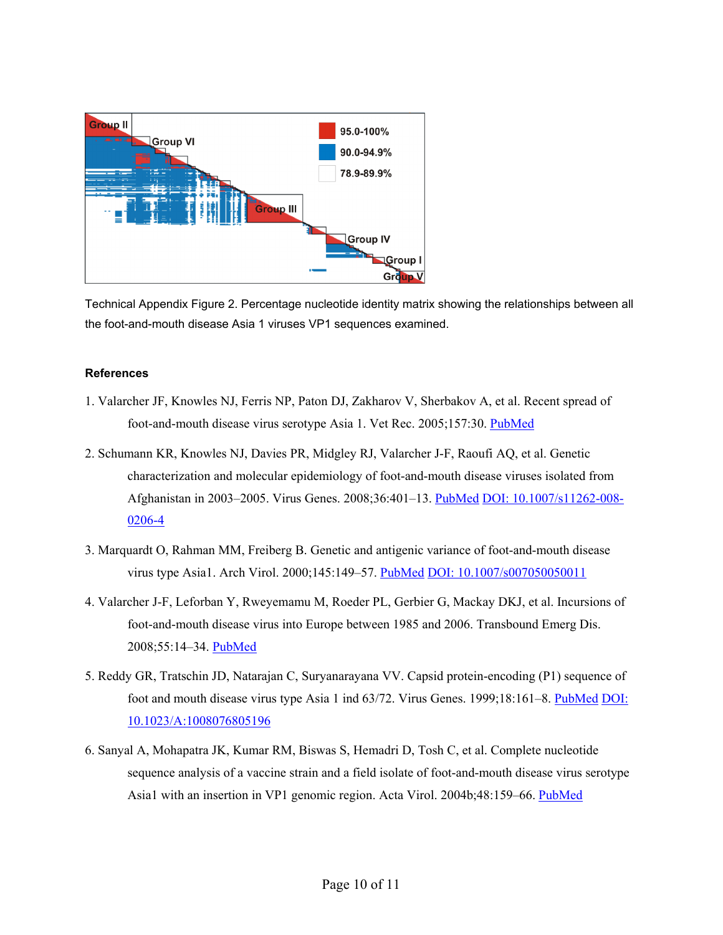

Technical Appendix Figure 2. Percentage nucleotide identity matrix showing the relationships between all the foot-and-mouth disease Asia 1 viruses VP1 sequences examined.

## **References**

- 1. Valarcher JF, Knowles NJ, Ferris NP, Paton DJ, Zakharov V, Sherbakov A, et al. Recent spread of foot-and-mouth disease virus serotype Asia 1. Vet Rec. 2005;157:30[. PubMed](http://www.ncbi.nlm.nih.gov/sites/entrez?cmd=Retrieve&db=PubMed&list_uids=15995241&dopt=Abstract)
- 2. Schumann KR, Knowles NJ, Davies PR, Midgley RJ, Valarcher J-F, Raoufi AQ, et al. Genetic characterization and molecular epidemiology of foot-and-mouth disease viruses isolated from Afghanistan in 2003–2005. Virus Genes. 2008;36:401–13. [PubMed](http://www.ncbi.nlm.nih.gov/sites/entrez?cmd=Retrieve&db=PubMed&list_uids=18278548&dopt=Abstract) [DOI: 10.1007/s11262-008-](http://dx.doi.org/10.1007/s11262-008-0206-4) [0206-4](http://dx.doi.org/10.1007/s11262-008-0206-4)
- 3. Marquardt O, Rahman MM, Freiberg B. Genetic and antigenic variance of foot-and-mouth disease virus type Asia1. Arch Virol. 2000;145:149–57[. PubMed](http://www.ncbi.nlm.nih.gov/sites/entrez?cmd=Retrieve&db=PubMed&list_uids=10664412&dopt=Abstract) [DOI: 10.1007/s007050050011](http://dx.doi.org/10.1007/s007050050011)
- 4. Valarcher J-F, Leforban Y, Rweyemamu M, Roeder PL, Gerbier G, Mackay DKJ, et al. Incursions of foot-and-mouth disease virus into Europe between 1985 and 2006. Transbound Emerg Dis. 2008;55:14–34[. PubMed](http://www.ncbi.nlm.nih.gov/sites/entrez?cmd=Retrieve&db=PubMed&list_uids=18397506&dopt=Abstract)
- 5. Reddy GR, Tratschin JD, Natarajan C, Suryanarayana VV. Capsid protein-encoding (P1) sequence of foot and mouth disease virus type Asia 1 ind 63/72. Virus Genes. 1999;18:161–8. [PubMed](http://www.ncbi.nlm.nih.gov/sites/entrez?cmd=Retrieve&db=PubMed&list_uids=10403702&dopt=Abstract) [DOI:](http://dx.doi.org/10.1023/A%3A1008076805196)  [10.1023/A:1008076805196](http://dx.doi.org/10.1023/A%3A1008076805196)
- 6. Sanyal A, Mohapatra JK, Kumar RM, Biswas S, Hemadri D, Tosh C, et al. Complete nucleotide sequence analysis of a vaccine strain and a field isolate of foot-and-mouth disease virus serotype Asia1 with an insertion in VP1 genomic region. Acta Virol. 2004b;48:159–66. [PubMed](http://www.ncbi.nlm.nih.gov/sites/entrez?cmd=Retrieve&db=PubMed&list_uids=15595209&dopt=Abstract)